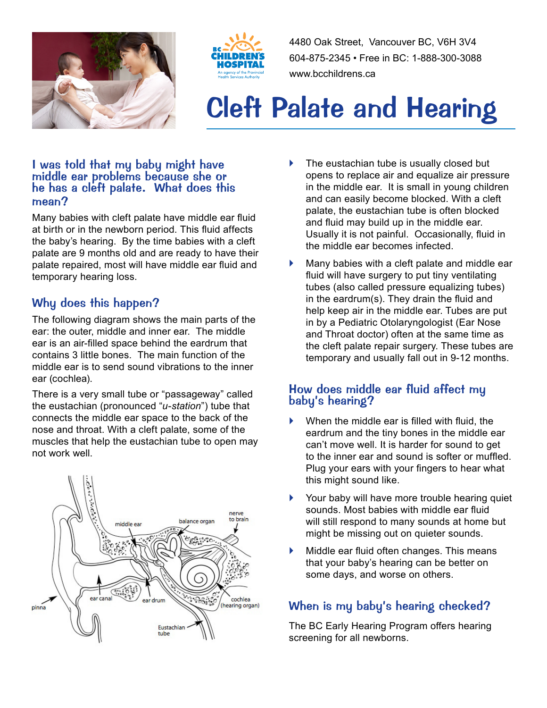



4480 Oak Street, Vancouver BC, V6H 3V4 604-875-2345 • Free in BC: 1-888-300-3088 www.bcchildrens.ca

# Cleft Palate and Hearing

#### I was told that my baby might have middle ear problems because she or he has a cleft palate. What does this mean?

Many babies with cleft palate have middle ear fluid at birth or in the newborn period. This fluid affects the baby's hearing. By the time babies with a cleft palate are 9 months old and are ready to have their palate repaired, most will have middle ear fluid and temporary hearing loss.

# Why does this happen?

The following diagram shows the main parts of the ear: the outer, middle and inner ear. The middle ear is an air-filled space behind the eardrum that contains 3 little bones. The main function of the middle ear is to send sound vibrations to the inner ear (cochlea).

There is a very small tube or "passageway" called the eustachian (pronounced "*u-station*") tube that connects the middle ear space to the back of the nose and throat. With a cleft palate, some of the muscles that help the eustachian tube to open may not work well.



- The eustachian tube is usually closed but opens to replace air and equalize air pressure in the middle ear. It is small in young children and can easily become blocked. With a cleft palate, the eustachian tube is often blocked and fluid may build up in the middle ear. Usually it is not painful. Occasionally, fluid in the middle ear becomes infected.
- } Many babies with a cleft palate and middle ear fluid will have surgery to put tiny ventilating tubes (also called pressure equalizing tubes) in the eardrum(s). They drain the fluid and help keep air in the middle ear. Tubes are put in by a Pediatric Otolaryngologist (Ear Nose and Throat doctor) often at the same time as the cleft palate repair surgery. These tubes are temporary and usually fall out in 9-12 months.

## How does middle ear fluid affect my baby's hearing?

- } When the middle ear is filled with fluid, the eardrum and the tiny bones in the middle ear can't move well. It is harder for sound to get to the inner ear and sound is softer or muffled. Plug your ears with your fingers to hear what this might sound like.
- } Your baby will have more trouble hearing quiet sounds. Most babies with middle ear fluid will still respond to many sounds at home but might be missing out on quieter sounds.
- Middle ear fluid often changes. This means that your baby's hearing can be better on some days, and worse on others.

# When is my baby's hearing checked?

The BC Early Hearing Program offers hearing screening for all newborns.